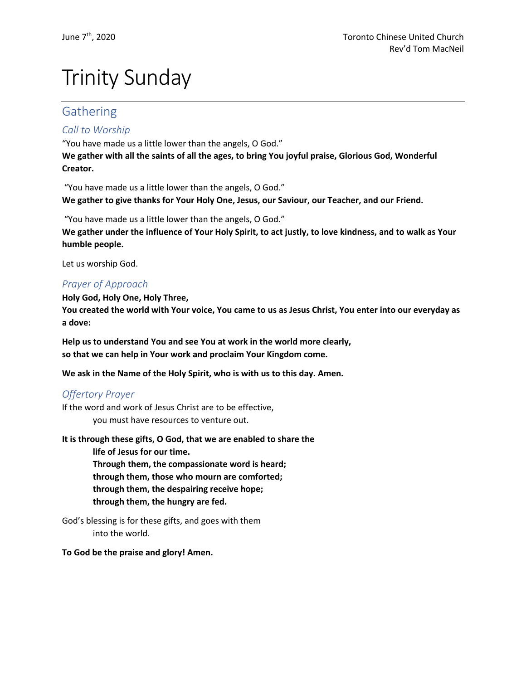# Trinity Sunday

# Gathering

## *Call to Worship*

"You have made us a little lower than the angels, O God." **We gather with all the saints of all the ages, to bring You joyful praise, Glorious God, Wonderful Creator.**

"You have made us a little lower than the angels, O God." **We gather to give thanks for Your Holy One, Jesus, our Saviour, our Teacher, and our Friend.**

"You have made us a little lower than the angels, O God." **We gather under the influence of Your Holy Spirit, to act justly, to love kindness, and to walk as Your humble people.** 

Let us worship God.

## *Prayer of Approach*

**Holy God, Holy One, Holy Three, You created the world with Your voice, You came to us as Jesus Christ, You enter into our everyday as a dove:**

**Help us to understand You and see You at work in the world more clearly, so that we can help in Your work and proclaim Your Kingdom come.**

**We ask in the Name of the Holy Spirit, who is with us to this day. Amen.**

## *Offertory Prayer*

If the word and work of Jesus Christ are to be effective, you must have resources to venture out.

**It is through these gifts, O God, that we are enabled to share the life of Jesus for our time. Through them, the compassionate word is heard; through them, those who mourn are comforted; through them, the despairing receive hope; through them, the hungry are fed.**

God's blessing is for these gifts, and goes with them into the world.

#### **To God be the praise and glory! Amen.**